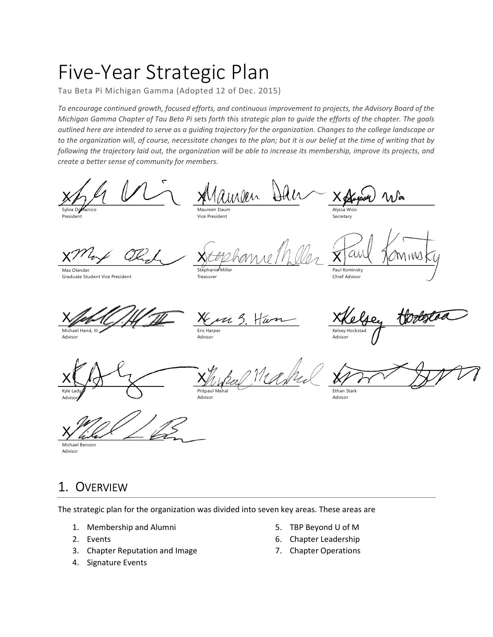# Five-Year Strategic Plan

Tau Beta Pi Michigan Gamma (Adopted 12 of Dec. 2015)

To encourage continued growth, focused efforts, and continuous improvement to projects, the Advisory Board of the Michigan Gamma Chapter of Tau Beta Pi sets forth this strategic plan to guide the efforts of the chapter. The goals outlined here are intended to serve as a guiding trajectory for the organization. Changes to the college landscape or to the organization will, of course, necessitate changes to the plan; but it is our belief at the time of writing that by following the trajectory laid out, the organization will be able to increase its membership, improve its projects, and create a better sense of community for members.

 $x \wedge \mu$   $\vee$   $\wedge$   $x$ Maw Sylvia Domanico **Sylvia Domanico** Maureen Daum

President

Maureen Daum Vice President

Stephanie Mille Treasurer

Advisor

 $\cancel{\lambda}$ 

X

Max Olender Graduate Student Vice President

Kris 5. Han XKelse

Xtephanne Miller X any

Chief Advisor

Xfeb (1.H THE Kin Michael Hand, III Advisor

Eric Harper Advisor

XKelse, tortestad Kelsey Hockstad Advisor

X oxyges a Way

 $X$ any Jaminsky

 $X \cup \{ \sigma \}$   $X \cup \{ \sigma \}$ Kyle Lady **A Contained A Contained A Contained Pritic** Advisory **Advisory** 

Xhybul Mahrel XPor Pritpaul Mahal

 $X/YY'$ 

Ethan Stark Advisor

Alyssa Woo Secretary

Paul Kominsky

 $\overline{\lambda}$ 

Michael Benson Advisor

## 1. OVERVIEW

The strategic plan for the organization was divided into seven key areas. These areas are

- 1. Membership and Alumni
- 2. Events
- 3. Chapter Reputation and Image
- 4. Signature Events
- 5. TBP Beyond U of M
- 6. Chapter Leadership
- 7. Chapter Operations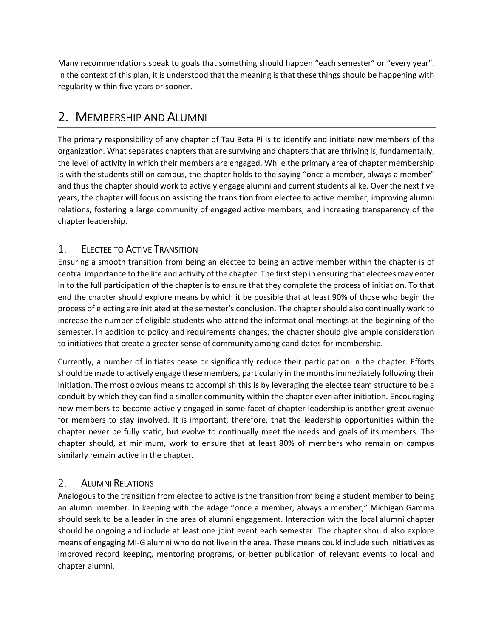Many recommendations speak to goals that something should happen "each semester" or "every year". In the context of this plan, it is understood that the meaning is that these things should be happening with regularity within five years or sooner.

## 2. MEMBERSHIP AND ALUMNI

The primary responsibility of any chapter of Tau Beta Pi is to identify and initiate new members of the organization. What separates chapters that are surviving and chapters that are thriving is, fundamentally, the level of activity in which their members are engaged. While the primary area of chapter membership is with the students still on campus, the chapter holds to the saying "once a member, always a member" and thus the chapter should work to actively engage alumni and current students alike. Over the next five years, the chapter will focus on assisting the transition from electee to active member, improving alumni relations, fostering a large community of engaged active members, and increasing transparency of the chapter leadership.

### ELECTEE TO ACTIVE TRANSITION  $1_{-}$

Ensuring a smooth transition from being an electee to being an active member within the chapter is of central importance to the life and activity of the chapter. The first step in ensuring that electees may enter in to the full participation of the chapter is to ensure that they complete the process of initiation. To that end the chapter should explore means by which it be possible that at least 90% of those who begin the process of electing are initiated at the semester's conclusion. The chapter should also continually work to increase the number of eligible students who attend the informational meetings at the beginning of the semester. In addition to policy and requirements changes, the chapter should give ample consideration to initiatives that create a greater sense of community among candidates for membership.

Currently, a number of initiates cease or significantly reduce their participation in the chapter. Efforts should be made to actively engage these members, particularly in the months immediately following their initiation. The most obvious means to accomplish this is by leveraging the electee team structure to be a conduit by which they can find a smaller community within the chapter even after initiation. Encouraging new members to become actively engaged in some facet of chapter leadership is another great avenue for members to stay involved. It is important, therefore, that the leadership opportunities within the chapter never be fully static, but evolve to continually meet the needs and goals of its members. The chapter should, at minimum, work to ensure that at least 80% of members who remain on campus similarly remain active in the chapter.

### 2. ALUMNI RELATIONS

Analogous to the transition from electee to active is the transition from being a student member to being an alumni member. In keeping with the adage "once a member, always a member," Michigan Gamma should seek to be a leader in the area of alumni engagement. Interaction with the local alumni chapter should be ongoing and include at least one joint event each semester. The chapter should also explore means of engaging MI-G alumni who do not live in the area. These means could include such initiatives as improved record keeping, mentoring programs, or better publication of relevant events to local and chapter alumni.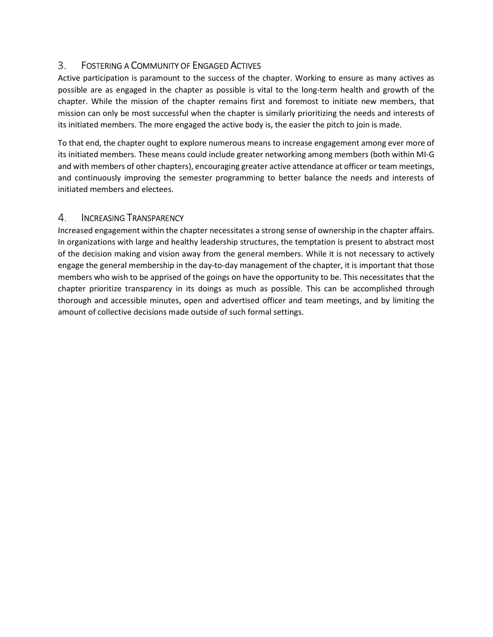### 3. FOSTERING A COMMUNITY OF ENGAGED ACTIVES

Active participation is paramount to the success of the chapter. Working to ensure as many actives as possible are as engaged in the chapter as possible is vital to the long-term health and growth of the chapter. While the mission of the chapter remains first and foremost to initiate new members, that mission can only be most successful when the chapter is similarly prioritizing the needs and interests of its initiated members. The more engaged the active body is, the easier the pitch to join is made.

To that end, the chapter ought to explore numerous means to increase engagement among ever more of its initiated members. These means could include greater networking among members (both within MI-G and with members of other chapters), encouraging greater active attendance at officer or team meetings, and continuously improving the semester programming to better balance the needs and interests of initiated members and electees.

### 4. INCREASING TRANSPARENCY

Increased engagement within the chapter necessitates a strong sense of ownership in the chapter affairs. In organizations with large and healthy leadership structures, the temptation is present to abstract most of the decision making and vision away from the general members. While it is not necessary to actively engage the general membership in the day-to-day management of the chapter, it is important that those members who wish to be apprised of the goings on have the opportunity to be. This necessitates that the chapter prioritize transparency in its doings as much as possible. This can be accomplished through thorough and accessible minutes, open and advertised officer and team meetings, and by limiting the amount of collective decisions made outside of such formal settings.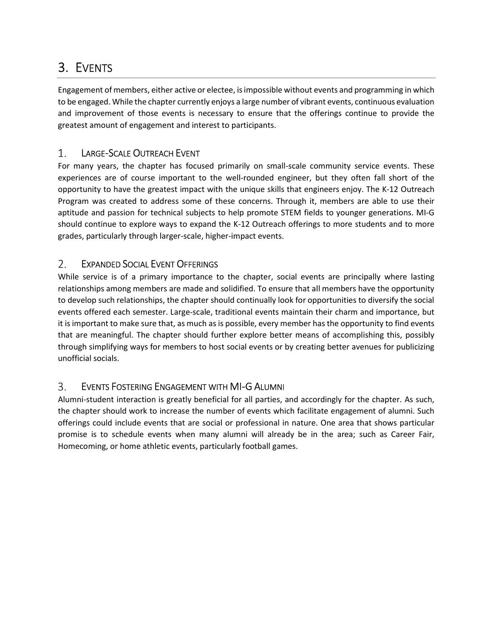## 3. EVENTS

Engagement of members, either active or electee, is impossible without events and programming in which to be engaged. While the chapter currently enjoys a large number of vibrant events, continuous evaluation and improvement of those events is necessary to ensure that the offerings continue to provide the greatest amount of engagement and interest to participants.

### 1. LARGE-SCALE OUTREACH EVENT

For many years, the chapter has focused primarily on small-scale community service events. These experiences are of course important to the well-rounded engineer, but they often fall short of the opportunity to have the greatest impact with the unique skills that engineers enjoy. The K-12 Outreach Program was created to address some of these concerns. Through it, members are able to use their aptitude and passion for technical subjects to help promote STEM fields to younger generations. MI-G should continue to explore ways to expand the K-12 Outreach offerings to more students and to more grades, particularly through larger-scale, higher-impact events.

### 2. EXPANDED SOCIAL EVENT OFFERINGS

While service is of a primary importance to the chapter, social events are principally where lasting relationships among members are made and solidified. To ensure that all members have the opportunity to develop such relationships, the chapter should continually look for opportunities to diversify the social events offered each semester. Large-scale, traditional events maintain their charm and importance, but it is important to make sure that, as much as is possible, every member has the opportunity to find events that are meaningful. The chapter should further explore better means of accomplishing this, possibly through simplifying ways for members to host social events or by creating better avenues for publicizing unofficial socials.

#### 3. EVENTS FOSTERING ENGAGEMENT WITH MI-G ALUMNI

Alumni-student interaction is greatly beneficial for all parties, and accordingly for the chapter. As such, the chapter should work to increase the number of events which facilitate engagement of alumni. Such offerings could include events that are social or professional in nature. One area that shows particular promise is to schedule events when many alumni will already be in the area; such as Career Fair, Homecoming, or home athletic events, particularly football games.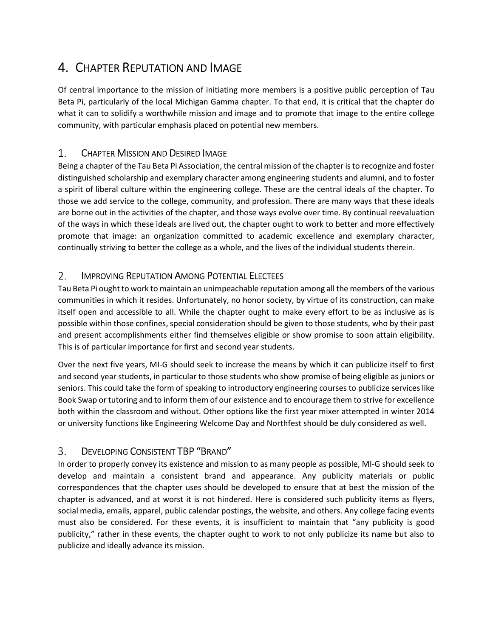## 4. CHAPTER REPUTATION AND IMAGE

Of central importance to the mission of initiating more members is a positive public perception of Tau Beta Pi, particularly of the local Michigan Gamma chapter. To that end, it is critical that the chapter do what it can to solidify a worthwhile mission and image and to promote that image to the entire college community, with particular emphasis placed on potential new members.

### 1. CHAPTER MISSION AND DESIRED IMAGE

Being a chapter of the Tau Beta Pi Association, the central mission of the chapter is to recognize and foster distinguished scholarship and exemplary character among engineering students and alumni, and to foster a spirit of liberal culture within the engineering college. These are the central ideals of the chapter. To those we add service to the college, community, and profession. There are many ways that these ideals are borne out in the activities of the chapter, and those ways evolve over time. By continual reevaluation of the ways in which these ideals are lived out, the chapter ought to work to better and more effectively promote that image: an organization committed to academic excellence and exemplary character, continually striving to better the college as a whole, and the lives of the individual students therein.

### $2.$ IMPROVING REPUTATION AMONG POTENTIAL ELECTEES

Tau Beta Pi ought to work to maintain an unimpeachable reputation among all the members of the various communities in which it resides. Unfortunately, no honor society, by virtue of its construction, can make itself open and accessible to all. While the chapter ought to make every effort to be as inclusive as is possible within those confines, special consideration should be given to those students, who by their past and present accomplishments either find themselves eligible or show promise to soon attain eligibility. This is of particular importance for first and second year students.

Over the next five years, MI-G should seek to increase the means by which it can publicize itself to first and second year students, in particular to those students who show promise of being eligible as juniors or seniors. This could take the form of speaking to introductory engineering courses to publicize services like Book Swap or tutoring and to inform them of our existence and to encourage them to strive for excellence both within the classroom and without. Other options like the first year mixer attempted in winter 2014 or university functions like Engineering Welcome Day and Northfest should be duly considered as well.

### DEVELOPING CONSISTENT TBP "BRAND" 3.

In order to properly convey its existence and mission to as many people as possible, MI-G should seek to develop and maintain a consistent brand and appearance. Any publicity materials or public correspondences that the chapter uses should be developed to ensure that at best the mission of the chapter is advanced, and at worst it is not hindered. Here is considered such publicity items as flyers, social media, emails, apparel, public calendar postings, the website, and others. Any college facing events must also be considered. For these events, it is insufficient to maintain that "any publicity is good publicity," rather in these events, the chapter ought to work to not only publicize its name but also to publicize and ideally advance its mission.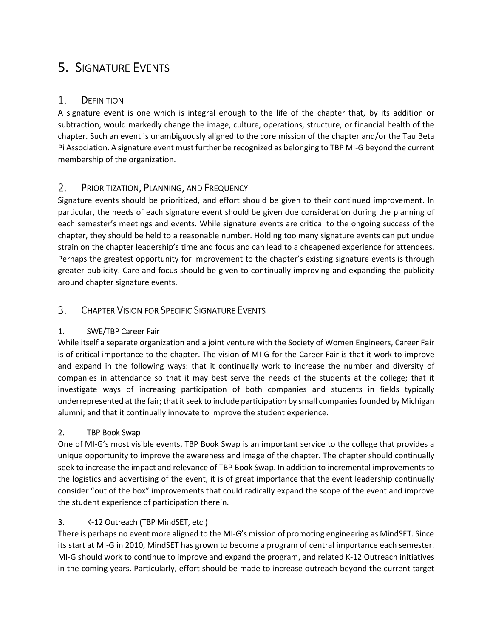## 5. SIGNATURE EVENTS

#### 1. **DEFINITION**

A signature event is one which is integral enough to the life of the chapter that, by its addition or subtraction, would markedly change the image, culture, operations, structure, or financial health of the chapter. Such an event is unambiguously aligned to the core mission of the chapter and/or the Tau Beta Pi Association. A signature event must further be recognized as belonging to TBP MI-G beyond the current membership of the organization.

#### 2. PRIORITIZATION, PLANNING, AND FREQUENCY

Signature events should be prioritized, and effort should be given to their continued improvement. In particular, the needs of each signature event should be given due consideration during the planning of each semester's meetings and events. While signature events are critical to the ongoing success of the chapter, they should be held to a reasonable number. Holding too many signature events can put undue strain on the chapter leadership's time and focus and can lead to a cheapened experience for attendees. Perhaps the greatest opportunity for improvement to the chapter's existing signature events is through greater publicity. Care and focus should be given to continually improving and expanding the publicity around chapter signature events.

#### 3. CHAPTER VISION FOR SPECIFIC SIGNATURE EVENTS

### 1. SWE/TBP Career Fair

While itself a separate organization and a joint venture with the Society of Women Engineers, Career Fair is of critical importance to the chapter. The vision of MI-G for the Career Fair is that it work to improve and expand in the following ways: that it continually work to increase the number and diversity of companies in attendance so that it may best serve the needs of the students at the college; that it investigate ways of increasing participation of both companies and students in fields typically underrepresented at the fair; that it seek to include participation by small companies founded by Michigan alumni; and that it continually innovate to improve the student experience.

### 2. TBP Book Swap

One of MI-G's most visible events, TBP Book Swap is an important service to the college that provides a unique opportunity to improve the awareness and image of the chapter. The chapter should continually seek to increase the impact and relevance of TBP Book Swap. In addition to incremental improvements to the logistics and advertising of the event, it is of great importance that the event leadership continually consider "out of the box" improvements that could radically expand the scope of the event and improve the student experience of participation therein.

### 3. K-12 Outreach (TBP MindSET, etc.)

There is perhaps no event more aligned to the MI-G's mission of promoting engineering as MindSET. Since its start at MI-G in 2010, MindSET has grown to become a program of central importance each semester. MI-G should work to continue to improve and expand the program, and related K-12 Outreach initiatives in the coming years. Particularly, effort should be made to increase outreach beyond the current target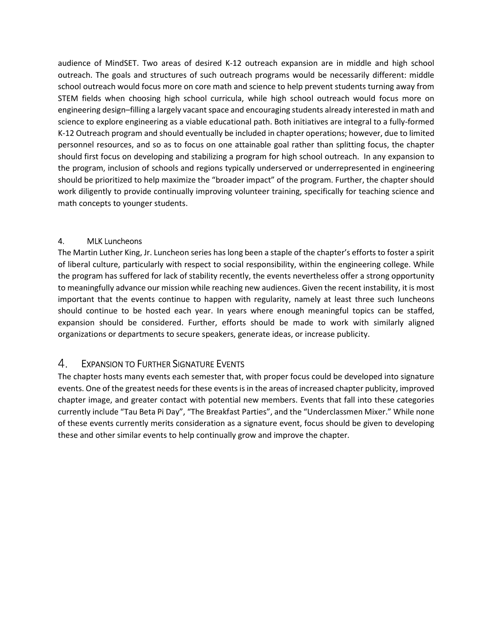audience of MindSET. Two areas of desired K-12 outreach expansion are in middle and high school outreach. The goals and structures of such outreach programs would be necessarily different: middle school outreach would focus more on core math and science to help prevent students turning away from STEM fields when choosing high school curricula, while high school outreach would focus more on engineering design–filling a largely vacant space and encouraging students already interested in math and science to explore engineering as a viable educational path. Both initiatives are integral to a fully-formed K-12 Outreach program and should eventually be included in chapter operations; however, due to limited personnel resources, and so as to focus on one attainable goal rather than splitting focus, the chapter should first focus on developing and stabilizing a program for high school outreach. In any expansion to the program, inclusion of schools and regions typically underserved or underrepresented in engineering should be prioritized to help maximize the "broader impact" of the program. Further, the chapter should work diligently to provide continually improving volunteer training, specifically for teaching science and math concepts to younger students.

### 4. MLK Luncheons

The Martin Luther King, Jr. Luncheon series has long been a staple of the chapter's efforts to foster a spirit of liberal culture, particularly with respect to social responsibility, within the engineering college. While the program has suffered for lack of stability recently, the events nevertheless offer a strong opportunity to meaningfully advance our mission while reaching new audiences. Given the recent instability, it is most important that the events continue to happen with regularity, namely at least three such luncheons should continue to be hosted each year. In years where enough meaningful topics can be staffed, expansion should be considered. Further, efforts should be made to work with similarly aligned organizations or departments to secure speakers, generate ideas, or increase publicity.

### 4. EXPANSION TO FURTHER SIGNATURE EVENTS

The chapter hosts many events each semester that, with proper focus could be developed into signature events. One of the greatest needs for these events is in the areas of increased chapter publicity, improved chapter image, and greater contact with potential new members. Events that fall into these categories currently include "Tau Beta Pi Day", "The Breakfast Parties", and the "Underclassmen Mixer." While none of these events currently merits consideration as a signature event, focus should be given to developing these and other similar events to help continually grow and improve the chapter.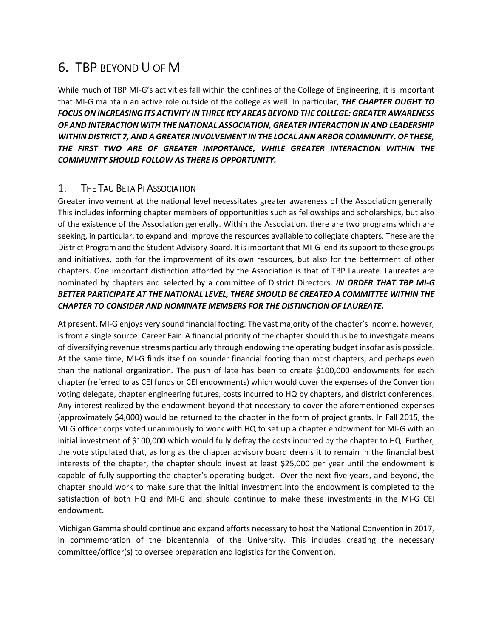## 6. TBP BEYOND U OF M

While much of TBP MI-G's activities fall within the confines of the College of Engineering, it is important that MI-G maintain an active role outside of the college as well. In particular, THE CHAPTER OUGHT TO FOCUS ON INCREASING ITS ACTIVITY IN THREE KEY AREAS BEYOND THE COLLEGE: GREATER AWARENESS OF AND INTERACTION WITH THE NATIONAL ASSOCIATION, GREATER INTERACTION IN AND LEADERSHIP WITHIN DISTRICT 7, AND A GREATER INVOLVEMENT IN THE LOCAL ANN ARBOR COMMUNITY. OF THESE, THE FIRST TWO ARE OF GREATER IMPORTANCE, WHILE GREATER INTERACTION WITHIN THE COMMUNITY SHOULD FOLLOW AS THERE IS OPPORTUNITY.

#### 1. THE TAU BETA PI ASSOCIATION

Greater involvement at the national level necessitates greater awareness of the Association generally. This includes informing chapter members of opportunities such as fellowships and scholarships, but also of the existence of the Association generally. Within the Association, there are two programs which are seeking, in particular, to expand and improve the resources available to collegiate chapters. These are the District Program and the Student Advisory Board. It is important that MI-G lend its support to these groups and initiatives, both for the improvement of its own resources, but also for the betterment of other chapters. One important distinction afforded by the Association is that of TBP Laureate. Laureates are nominated by chapters and selected by a committee of District Directors. IN ORDER THAT TBP MI-G BETTER PARTICIPATE AT THE NATIONAL LEVEL, THERE SHOULD BE CREATED A COMMITTEE WITHIN THE CHAPTER TO CONSIDER AND NOMINATE MEMBERS FOR THE DISTINCTION OF LAUREATE.

At present, MI-G enjoys very sound financial footing. The vast majority of the chapter's income, however, is from a single source: Career Fair. A financial priority of the chapter should thus be to investigate means of diversifying revenue streams particularly through endowing the operating budget insofar as is possible. At the same time, MI-G finds itself on sounder financial footing than most chapters, and perhaps even than the national organization. The push of late has been to create \$100,000 endowments for each chapter (referred to as CEI funds or CEI endowments) which would cover the expenses of the Convention voting delegate, chapter engineering futures, costs incurred to HQ by chapters, and district conferences. Any interest realized by the endowment beyond that necessary to cover the aforementioned expenses (approximately \$4,000) would be returned to the chapter in the form of project grants. In Fall 2015, the MI G officer corps voted unanimously to work with HQ to set up a chapter endowment for MI-G with an initial investment of \$100,000 which would fully defray the costs incurred by the chapter to HQ. Further, the vote stipulated that, as long as the chapter advisory board deems it to remain in the financial best interests of the chapter, the chapter should invest at least \$25,000 per year until the endowment is capable of fully supporting the chapter's operating budget. Over the next five years, and beyond, the chapter should work to make sure that the initial investment into the endowment is completed to the satisfaction of both HQ and MI-G and should continue to make these investments in the MI-G CEI endowment.

Michigan Gamma should continue and expand efforts necessary to host the National Convention in 2017, in commemoration of the bicentennial of the University. This includes creating the necessary committee/officer(s) to oversee preparation and logistics for the Convention.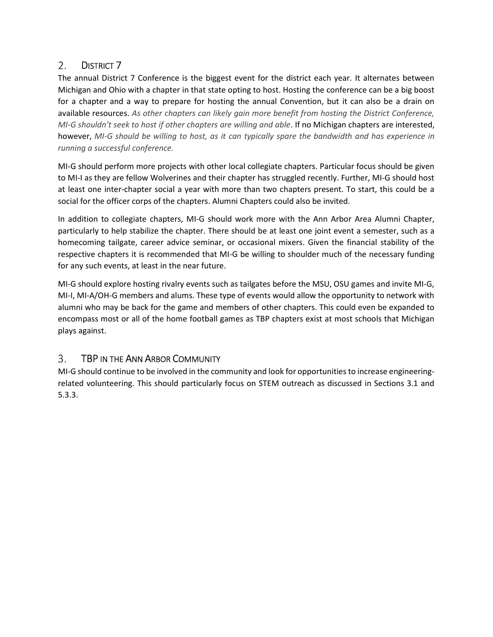### DISTRICT 7 2.

The annual District 7 Conference is the biggest event for the district each year. It alternates between Michigan and Ohio with a chapter in that state opting to host. Hosting the conference can be a big boost for a chapter and a way to prepare for hosting the annual Convention, but it can also be a drain on available resources. As other chapters can likely gain more benefit from hosting the District Conference, MI-G shouldn't seek to host if other chapters are willing and able. If no Michigan chapters are interested, however, MI-G should be willing to host, as it can typically spare the bandwidth and has experience in running a successful conference.

MI-G should perform more projects with other local collegiate chapters. Particular focus should be given to MI-I as they are fellow Wolverines and their chapter has struggled recently. Further, MI-G should host at least one inter-chapter social a year with more than two chapters present. To start, this could be a social for the officer corps of the chapters. Alumni Chapters could also be invited.

In addition to collegiate chapters, MI-G should work more with the Ann Arbor Area Alumni Chapter, particularly to help stabilize the chapter. There should be at least one joint event a semester, such as a homecoming tailgate, career advice seminar, or occasional mixers. Given the financial stability of the respective chapters it is recommended that MI-G be willing to shoulder much of the necessary funding for any such events, at least in the near future.

MI-G should explore hosting rivalry events such as tailgates before the MSU, OSU games and invite MI-G, MI-I, MI-A/OH-G members and alums. These type of events would allow the opportunity to network with alumni who may be back for the game and members of other chapters. This could even be expanded to encompass most or all of the home football games as TBP chapters exist at most schools that Michigan plays against.

### $\mathcal{B}_{\mathcal{C}}$ TBP IN THE ANN ARBOR COMMUNITY

MI-G should continue to be involved in the community and look for opportunities to increase engineeringrelated volunteering. This should particularly focus on STEM outreach as discussed in Sections 3.1 and 5.3.3.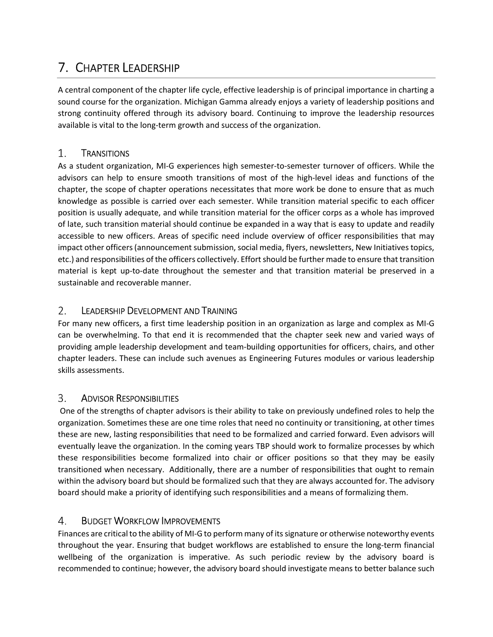## 7. CHAPTER LEADERSHIP

A central component of the chapter life cycle, effective leadership is of principal importance in charting a sound course for the organization. Michigan Gamma already enjoys a variety of leadership positions and strong continuity offered through its advisory board. Continuing to improve the leadership resources available is vital to the long-term growth and success of the organization.

### 1. **TRANSITIONS**

As a student organization, MI-G experiences high semester-to-semester turnover of officers. While the advisors can help to ensure smooth transitions of most of the high-level ideas and functions of the chapter, the scope of chapter operations necessitates that more work be done to ensure that as much knowledge as possible is carried over each semester. While transition material specific to each officer position is usually adequate, and while transition material for the officer corps as a whole has improved of late, such transition material should continue be expanded in a way that is easy to update and readily accessible to new officers. Areas of specific need include overview of officer responsibilities that may impact other officers (announcement submission, social media, flyers, newsletters, New Initiatives topics, etc.) and responsibilities of the officers collectively. Effort should be further made to ensure that transition material is kept up-to-date throughout the semester and that transition material be preserved in a sustainable and recoverable manner.

### $2.$ LEADERSHIP DEVELOPMENT AND TRAINING

For many new officers, a first time leadership position in an organization as large and complex as MI-G can be overwhelming. To that end it is recommended that the chapter seek new and varied ways of providing ample leadership development and team-building opportunities for officers, chairs, and other chapter leaders. These can include such avenues as Engineering Futures modules or various leadership skills assessments.

### 3. ADVISOR RESPONSIBILITIES

 One of the strengths of chapter advisors is their ability to take on previously undefined roles to help the organization. Sometimes these are one time roles that need no continuity or transitioning, at other times these are new, lasting responsibilities that need to be formalized and carried forward. Even advisors will eventually leave the organization. In the coming years TBP should work to formalize processes by which these responsibilities become formalized into chair or officer positions so that they may be easily transitioned when necessary. Additionally, there are a number of responsibilities that ought to remain within the advisory board but should be formalized such that they are always accounted for. The advisory board should make a priority of identifying such responsibilities and a means of formalizing them.

### 4. BUDGET WORKFLOW IMPROVEMENTS

Finances are critical to the ability of MI-G to perform many of its signature or otherwise noteworthy events throughout the year. Ensuring that budget workflows are established to ensure the long-term financial wellbeing of the organization is imperative. As such periodic review by the advisory board is recommended to continue; however, the advisory board should investigate means to better balance such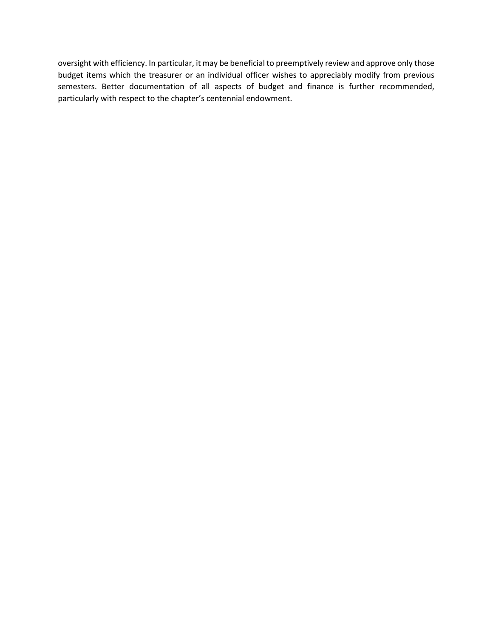oversight with efficiency. In particular, it may be beneficial to preemptively review and approve only those budget items which the treasurer or an individual officer wishes to appreciably modify from previous semesters. Better documentation of all aspects of budget and finance is further recommended, particularly with respect to the chapter's centennial endowment.